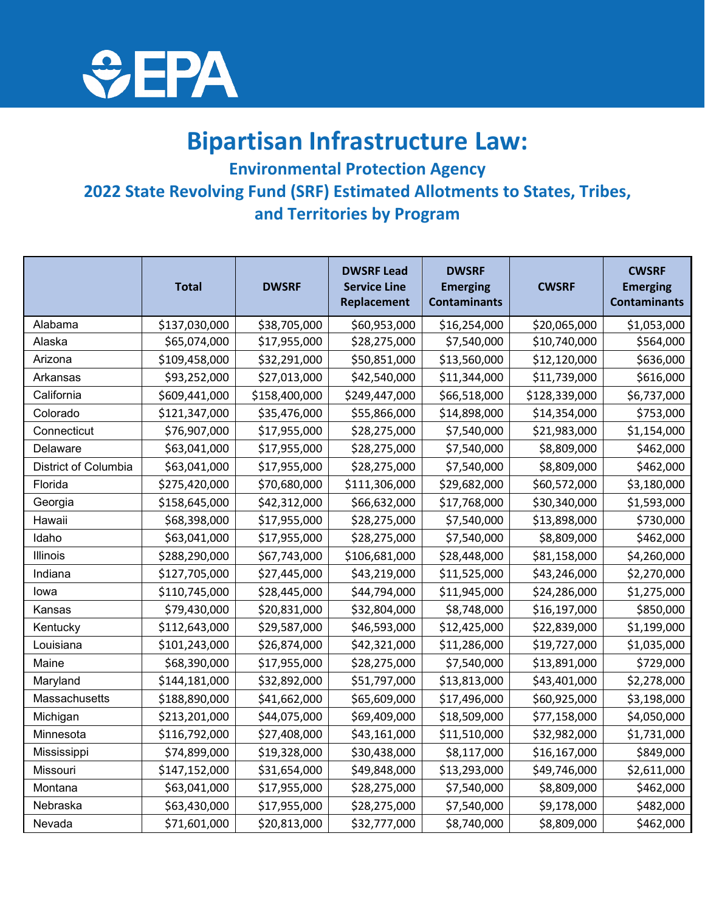

## **Bipartisan Infrastructure Law:**

**Environmental Protection Agency 2022 State Revolving Fund (SRF) Estimated Allotments to States, Tribes, and Territories by Program**

|                      | <b>Total</b>  | <b>DWSRF</b>  | <b>DWSRF Lead</b><br><b>Service Line</b><br>Replacement | <b>DWSRF</b><br><b>Emerging</b><br><b>Contaminants</b> | <b>CWSRF</b>  | <b>CWSRF</b><br><b>Emerging</b><br><b>Contaminants</b> |
|----------------------|---------------|---------------|---------------------------------------------------------|--------------------------------------------------------|---------------|--------------------------------------------------------|
| Alabama              | \$137,030,000 | \$38,705,000  | \$60,953,000                                            | \$16,254,000                                           | \$20,065,000  | \$1,053,000                                            |
| Alaska               | \$65,074,000  | \$17,955,000  | \$28,275,000                                            | \$7,540,000                                            | \$10,740,000  | \$564,000                                              |
| Arizona              | \$109,458,000 | \$32,291,000  | \$50,851,000                                            | \$13,560,000                                           | \$12,120,000  | \$636,000                                              |
| Arkansas             | \$93,252,000  | \$27,013,000  | \$42,540,000                                            | \$11,344,000                                           | \$11,739,000  | \$616,000                                              |
| California           | \$609,441,000 | \$158,400,000 | \$249,447,000                                           | \$66,518,000                                           | \$128,339,000 | \$6,737,000                                            |
| Colorado             | \$121,347,000 | \$35,476,000  | \$55,866,000                                            | \$14,898,000                                           | \$14,354,000  | \$753,000                                              |
| Connecticut          | \$76,907,000  | \$17,955,000  | \$28,275,000                                            | \$7,540,000                                            | \$21,983,000  | \$1,154,000                                            |
| Delaware             | \$63,041,000  | \$17,955,000  | \$28,275,000                                            | \$7,540,000                                            | \$8,809,000   | \$462,000                                              |
| District of Columbia | \$63,041,000  | \$17,955,000  | \$28,275,000                                            | \$7,540,000                                            | \$8,809,000   | \$462,000                                              |
| Florida              | \$275,420,000 | \$70,680,000  | \$111,306,000                                           | \$29,682,000                                           | \$60,572,000  | \$3,180,000                                            |
| Georgia              | \$158,645,000 | \$42,312,000  | \$66,632,000                                            | \$17,768,000                                           | \$30,340,000  | \$1,593,000                                            |
| Hawaii               | \$68,398,000  | \$17,955,000  | \$28,275,000                                            | \$7,540,000                                            | \$13,898,000  | \$730,000                                              |
| Idaho                | \$63,041,000  | \$17,955,000  | \$28,275,000                                            | \$7,540,000                                            | \$8,809,000   | \$462,000                                              |
| Illinois             | \$288,290,000 | \$67,743,000  | \$106,681,000                                           | \$28,448,000                                           | \$81,158,000  | \$4,260,000                                            |
| Indiana              | \$127,705,000 | \$27,445,000  | \$43,219,000                                            | \$11,525,000                                           | \$43,246,000  | \$2,270,000                                            |
| lowa                 | \$110,745,000 | \$28,445,000  | \$44,794,000                                            | \$11,945,000                                           | \$24,286,000  | \$1,275,000                                            |
| Kansas               | \$79,430,000  | \$20,831,000  | \$32,804,000                                            | \$8,748,000                                            | \$16,197,000  | \$850,000                                              |
| Kentucky             | \$112,643,000 | \$29,587,000  | \$46,593,000                                            | \$12,425,000                                           | \$22,839,000  | \$1,199,000                                            |
| Louisiana            | \$101,243,000 | \$26,874,000  | \$42,321,000                                            | \$11,286,000                                           | \$19,727,000  | \$1,035,000                                            |
| Maine                | \$68,390,000  | \$17,955,000  | \$28,275,000                                            | \$7,540,000                                            | \$13,891,000  | \$729,000                                              |
| Maryland             | \$144,181,000 | \$32,892,000  | \$51,797,000                                            | \$13,813,000                                           | \$43,401,000  | \$2,278,000                                            |
| Massachusetts        | \$188,890,000 | \$41,662,000  | \$65,609,000                                            | \$17,496,000                                           | \$60,925,000  | \$3,198,000                                            |
| Michigan             | \$213,201,000 | \$44,075,000  | \$69,409,000                                            | \$18,509,000                                           | \$77,158,000  | \$4,050,000                                            |
| Minnesota            | \$116,792,000 | \$27,408,000  | \$43,161,000                                            | \$11,510,000                                           | \$32,982,000  | \$1,731,000                                            |
| Mississippi          | \$74,899,000  | \$19,328,000  | \$30,438,000                                            | \$8,117,000                                            | \$16,167,000  | \$849,000                                              |
| Missouri             | \$147,152,000 | \$31,654,000  | \$49,848,000                                            | \$13,293,000                                           | \$49,746,000  | \$2,611,000                                            |
| Montana              | \$63,041,000  | \$17,955,000  | \$28,275,000                                            | \$7,540,000                                            | \$8,809,000   | \$462,000                                              |
| Nebraska             | \$63,430,000  | \$17,955,000  | \$28,275,000                                            | \$7,540,000                                            | \$9,178,000   | \$482,000                                              |
| Nevada               | \$71,601,000  | \$20,813,000  | \$32,777,000                                            | \$8,740,000                                            | \$8,809,000   | \$462,000                                              |